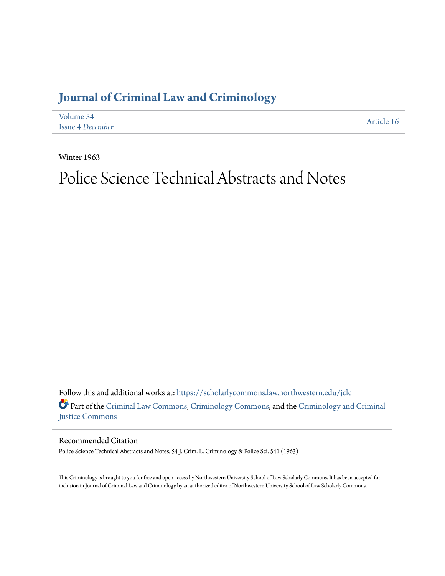## **[Journal of Criminal Law and Criminology](https://scholarlycommons.law.northwestern.edu/jclc?utm_source=scholarlycommons.law.northwestern.edu%2Fjclc%2Fvol54%2Fiss4%2F16&utm_medium=PDF&utm_campaign=PDFCoverPages)**

| Volume 54               | Article 16 |
|-------------------------|------------|
| <b>Issue 4 December</b> |            |

Winter 1963

# Police Science Technical Abstracts and Notes

Follow this and additional works at: [https://scholarlycommons.law.northwestern.edu/jclc](https://scholarlycommons.law.northwestern.edu/jclc?utm_source=scholarlycommons.law.northwestern.edu%2Fjclc%2Fvol54%2Fiss4%2F16&utm_medium=PDF&utm_campaign=PDFCoverPages) Part of the [Criminal Law Commons](http://network.bepress.com/hgg/discipline/912?utm_source=scholarlycommons.law.northwestern.edu%2Fjclc%2Fvol54%2Fiss4%2F16&utm_medium=PDF&utm_campaign=PDFCoverPages), [Criminology Commons](http://network.bepress.com/hgg/discipline/417?utm_source=scholarlycommons.law.northwestern.edu%2Fjclc%2Fvol54%2Fiss4%2F16&utm_medium=PDF&utm_campaign=PDFCoverPages), and the [Criminology and Criminal](http://network.bepress.com/hgg/discipline/367?utm_source=scholarlycommons.law.northwestern.edu%2Fjclc%2Fvol54%2Fiss4%2F16&utm_medium=PDF&utm_campaign=PDFCoverPages) [Justice Commons](http://network.bepress.com/hgg/discipline/367?utm_source=scholarlycommons.law.northwestern.edu%2Fjclc%2Fvol54%2Fiss4%2F16&utm_medium=PDF&utm_campaign=PDFCoverPages)

Recommended Citation

Police Science Technical Abstracts and Notes, 54 J. Crim. L. Criminology & Police Sci. 541 (1963)

This Criminology is brought to you for free and open access by Northwestern University School of Law Scholarly Commons. It has been accepted for inclusion in Journal of Criminal Law and Criminology by an authorized editor of Northwestern University School of Law Scholarly Commons.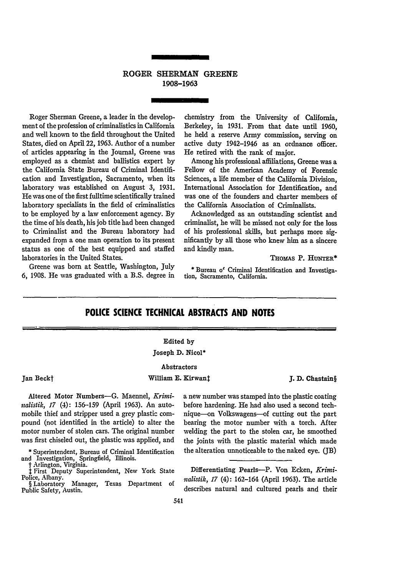### ROGER **SHERMAN GREENE 1908-1963**

Roger Sherman Greene, a leader in the development of the profession of criminalistics in California and well known to the field throughout the United States, died on April 22, 1963. Author of a number of articles appearing in the Journal, Greene was employed as a chemist and ballistics expert by the California State Bureau of Criminal Identification and Investigation, Sacramento, when its laboratory was established on August 3, 1931. He was one of the first fulltime scientifically trained laboratory specialists in the field of criminalistics to be employed by a law enforcement agency. By the time of his death, his job title had been changed to Criminalist and the Bureau laboratory had expanded from a one man operation to its present status as one of the best equipped and staffed laboratories in the United States.

Greene was born at Seattle, Washington, July **6,** 1908. He was graduated with a B.S. degree in

chemistry from the University of California, Berkeley, in **1931.** From that date until **1960,** he held a reserve Army commission, serving on active duty 1942-1946 as an ordnance officer. He retired with the rank of major.

Among his professional affiliations, Greene was a Fellow of the American Academy of Forensic Sciences, a life member of the California Division, International Association for Identification, and was one of the founders and charter members of the California Association of Criminalists.

Acknowledged as an outstanding scientist and criminalist, he will be missed not only for the loss of his professional skills, but perhaps more significantly by all those who knew him as a sincere and kindly man.

Thoms P. HUNTER\*

**\*** Bureau o' Criminal Identification and Investigation, Sacramento, California.

## **POLICE SCIENCE TECHNICAL ABSTRACTS AND NOTES**

#### Edited **by**

#### Joseph **D.** Nicol\*

#### Abstractors

William **E. Kirwant J. D. Chastain**§

Altered Motor Numbers-G. Maennel, *Kriminalislik, 17* (4): **156-159** (April **1963).** An automobile thief and stripper used a grey plastic compound (not identified in the article) to alter the motor number of stolen cars. The original number was first chiseled out, the plastic was applied, and

Jan Beckt

**\*** Superintendent, Bureau of Criminal Identification and Investigation, Springfield, Illinois.

t First Deputy Superintendent, New York State Police, Albany.

§ Laboratory Manager, Texas Department of Public Safety, **Austin.**

a new number was stamped into the plastic coating before hardening. He had also used a second technique-on Volkswagens-of cutting out the part bearing the motor number with a torch. After welding the part to the stolen car, he smoothed the joints with the plastic material which made the alteration unnoticeable to the naked eye. (JB)

Differentiating Pearls-P. Von Ecken, *Krimiitalislik, 17* (4): 162-164 (April **1963).** The article describes natural and cultured pearls and their

#### 541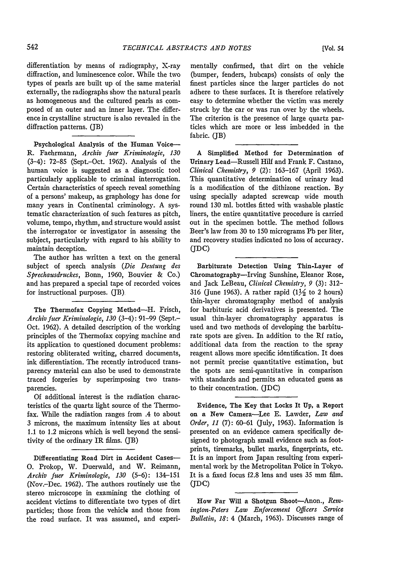differentiation by means of radiography, X-ray diffraction, and luminescence color. While the two types of pearls are built up of the same material externally, the radiographs show the natural pearls as homogeneous and the cultured pearls as composed of an outer and an inner layer. The difference in crystalline structure is also revealed in the diffraction patterns. (JB)

Psychological Analysis of the Human Voice-R. Faehrmann, Archiv fuer Kriminologie, 130 (3-4): 72-85 (Sept.-Oct. 1962). Analysis of the human voice is suggested as a diagnostic tool particularly applicable to criminal interrogation. Certain characteristics of speech reveal something of a persons' makeup, as graphology has done for many years in Continental criminology. A systematic characterization of such features as pitch, volume, tempo, rhythm, and structure would assist the interrogator or investigator in assessing the subject, particularly with regard to his ability to maintain deception.

The author has written a text on the general subject of speech analysis *(Die Deutung des Sprechausdruckes,* Bonn, 1960, Bouvier & Co.) and has prepared a special tape of recorded voices for instructional purposes. (JB)

The Thermofax Copying Method-H. Frisch, *Archiv fuer Kriminologie, 130* (3-4): 91-99 (Sept.- Oct. 1962). A detailed description of the working principles of the Thermofax copying machine and its application to questioned document problems: restoring obliterated writing, charred documents, ink differentiation. The recently introduced transparency material can also be used to demonstrate traced forgeries by superimposing two transparencies.

Of additional interest is the radiation characteristics of the quartz light source of the Thermofax. While the radiation ranges from .4 to about 3 microns, the maximum intensity lies at about 1.1 to 1.2 microns which is well beyond the sensitivity of the ordinary IR films. (JB)

Differentiating Road Dirt in Accident Cases-**0.** Prokop, W. Duenvald, and W. Reimann, *Archiv fiter Kriminologie, 130* (5-6): 134-151 (Nov.-Dec. 1962). The authors routinely use the stereo microscope in examining the clothing of accident victims to differentiate two types of dirt particles; those from the vehicle and those from the road surface. It was assumed, and experimentally confirmed, that dirt on the vehicle (bumper, fenders, hubcaps) consists of only the finest particles since the larger particles do not adhere to these surfaces. It is therefore relatively easy to determine whether the victim was merely struck by the car or was run over by the wheels. The criterion is the presence of large quartz particles which are more or less imbedded in the fabric. (JB)

A Simplified Method for Determination of Urinary Lead-Russell Hilf and Frank F. Castano, *Clinical Chemistry, 9* (2): 163-167 (April 1963). This quantitative determination of urinary lead is a modification of the dithizone reaction. By using specially adapted screwcap wide mouth round 130 ml. bottles fitted with washable plastic liners, the entire quantitative procedure is carried out in the specimen bottle. The method follows Beer's law from 30 to 150 micrograms Pb per liter, and recovery studies indicated no loss of accuracy. **(DC)**

Barbiturate Detection Using Thin-Layer of Chromatography-Irving Sunshine, Eleanor Rose, and Jack LeBeau, *Clinical Chemistry, 9* (3): 312- 316 (June 1963). A rather rapid  $(1\frac{1}{2})$  to 2 hours) thin-layer chromatography method of analysis for barbituric acid derivatives is presented. The usual thin-layer chromatography apparatus is used and two methods of developing the barbiturate spots are given. In addition to the Rf ratio, additional data from the reaction to the spray reagent allows more specific identification. It does not permit precise quantitative estimation, but the spots are semi-quantitative in comparison with standards and permits an educated guess as to their concentration. (JDC)

Evidence, The Key that Locks It Up, a Report on a New Camera-Lee **E.** Lawder, *Law and Order, 11* (7): 60-61 (July, 1963). Information is presented on an evidence camera specifically designed to photograph small evidence such as footprints, tiremarks, bullet marks, fingerprints, etc. It is an import from Japan resulting from experimental work by the Metropolitan Police in Tokyo. It is a fixed focus f2.8 lens and uses 35 mm film. **(JDC)**

How Far Will a Shotgun Shoot-Anon., *Remingm-Peters Law Enforcement Officers Service Bulletin, 18:* 4 (March, 1963). Discusses range of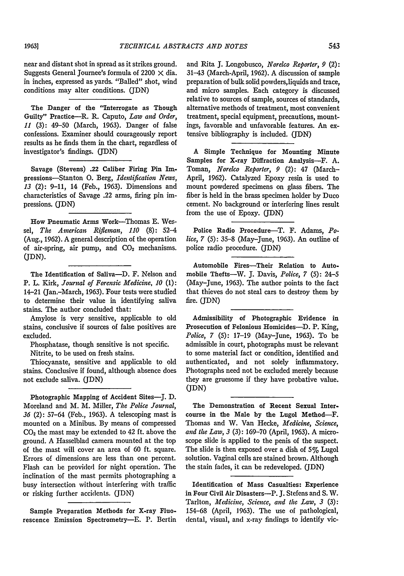near and distant shot in spread as it strikes ground. Suggests General Journee's formula of 2200  $\times$  dia. in inches, expressed as yards. "Balled" shot, wind conditions may alter conditions. (JDN)

The Danger of the "Interrogate as Though Guilty" Practice-R. R. Caputo, *Law and Order, 11* (3): 49-50 (March, 1963). Danger of false confessions. Examiner should courageously report results as he finds them in the chart, regardless of investigator's findings. (JDN)

Savage (Stevens) **.22** Caliber Firing Pin Impressions-Stanton **0.** Berg, *Identification News, 13* (2): 9-11, 14 (Feb., 1963). Dimensions and characteristics of Savage .22 arms, firing pin impressions. (JDN)

How Pneumatic Arms Work-Thomas **E.** Wessel, *The Averican Rifleman, 110* **(8):** 52-4 (Aug., 1962). A general description of the operation of air-spring, air pump, and CO<sub>2</sub> mechanisms. (JDN).

The Identification of Saliva-D. F. Nelson and P. L. Kirk, *Journal of Forensic Medicine*, 10 (1): 14-21 (Jan.-March, 1963). Four tests were studied to determine their value in identifying saliva stains. The author concluded that:

Amylose is very sensitive, applicable to old stains, conclusive if sources of false positives are excluded.

Phosphatase, though sensitive is not specific. Nitrite, to be used on fresh stains.

Thiocyanate, sensitive and applicable to old stains. Conclusive if found, although absence does not exclude saliva. (JDN)

Photographic Mapping of Accident Sites-J. D. Moreland and M. M. Miller, *The Police Journal, 36* (2): 57-64 (Feb., 1963). A telescoping mast is mounted on a Minibus. By means of compressed **C0 <sup>2</sup>**the mast may be extended to 42 ft. above the ground. A Hasselblad camera mounted at the top of the mast will cover an area of 60 ft. square. Errors of dimensions are less than one percent. Flash can be provided for night operation. The inclination of the mast permits photographing a busy intersection without interfering with traffic or risking further accidents. (JDN)

Sample Preparation Methods for X-ray Fluorescence Emission Spectrometry-E. P. Bertin

and Rita J. Longobusco, *Norelco Reporter, 9* (2): 31-43 (March-April, 1962). A discussion of sample preparation of bulk solid powders, liquids and trace, and micro samples. Each category is discussed relative to sources of sample, sources of standards, alternative methods of treatment, most convenient treatment, special equipment, precautions, mountings, favorable and unfavorable features. An extensive bibliography is included. (JDN)

**A** Simple Technique for Mounting Minute Samples for X-ray Diffraction Analysis-F. A. Toman, *Norelco Reporter*, 9 (2): 47 (March-April, 1962). Catalyzed Epoxy resin is used to mount powdered specimens on glass fibers. The fiber is held in the brass specimen holder by Duco cement. No background or interfering lines result from the use of Epoxy. (JDN)

Police Radio Procedure-T. F. Adams, *Police, 7* (5): 35-8 (May-June, 1963). An outline of police radio procedure. (JDN)

Automobile Fires-Their Relation to Automobile Thefts-W. **J.** Davis, *Police, 7* (5): 24-5 (May-June, 1963). The author points to the fact that thieves do not steal cars to destroy them by fire. (JDN)

Admissibility of Photographic Evidence in Prosecution of Felonious Homicides-D. P. King, *Police, 7* (5): 17-19 (May-June, 1963). To be admissible in court, photographs must be relevant to some material fact or condition, identified and authenticated, and not solely inflammatory. Photographs need not be excluded merely because they are gruesome if they have probative value. (JDN)

The Demonstration of Recent Sexual Intercourse in the Male by the Lugol Method-F. Thomas and W. Van Hecke, *M Aedicine, Science, and the Law, 3* (3): 169-70 (April, 1963). A microscope slide is applied to the penis of the suspect. The slide is then exposed over a dish of  $5\%$  Lugol solution. Vaginal cells are stained brown. Although the stain fades, it can be redeveloped. (JDN)

Identification of Mass Casualties: Experience in Four Civil Air Disasters-P. **J.** Stefens and S. W. Tarlton, *Medicine, Science, and the Law, 3* **(3):** 154-68 (April, 1963). The use of pathological, dental, visual, and x-ray findings to identify vic-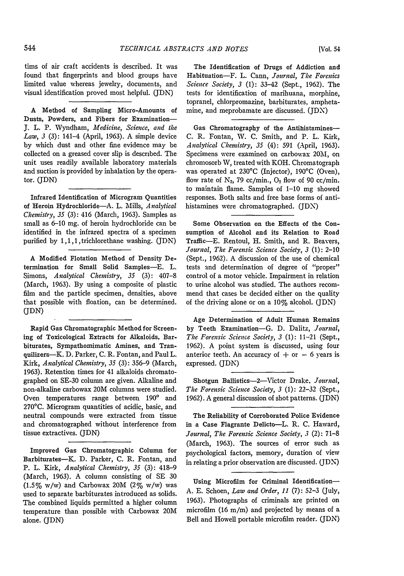tims of air craft accidents is described. It was found that fingerprints and blood groups have limited value whereas jewelry, documents, and visual identification proved most helpful. (JDN)

A Method of Sampling Micro-Amounts of Dusts, Powders, and Fibers for Examination-**J.** L. P. Wyndham, *Medicine, Science, and the Law, 3* (3): 141-4 (April, 1963). A simple device **by** which dust and other fine evidence may be collected on a greased cover slip is described. The unit uses readily available laboratory materials and suction is provided **by** inhalation **by** the operator. (JDN)

Infrared Identification of Microgram Quantities of Heroin Hydrochloride-A. L. Mills, *Analytical Chemistry, 35* (3): 416 (March, 1963). Samples as small as 6-10 mg. of heroin hydrochloride can be identified in the infrared spectra of a specimen purified by 1,1,1,trichlorethane washing. (JDN)

A Modified Flotation Method of Density Determination for Small Solid Samples-E. L. Simons, *Analytical Chemistry, 35* (3): 407-8 (March, 1963). By using a composite of plastic film and the particle specimen, densities, above that possible with floation, can be determined. (JDN)

Rapid Gas Chromatographic Method for Screening of Toxicological Extracts for Alkaloids, Barbiturates, Sympathomimatic Amines, and Tranquilizers-K. D. Parker, C. R. Fontan, and Paul L. Kirk, *Analytical Chemistry, 35* (3): 356-9 (March, 1963). Retention times for 41 alkaloids chromatographed on SE-30 column are given. Alkaline and non-alkaline carbowax 20M columns were studied. Oven temperatures range between 190° and 270'C. Microgram quantities of acidic, basic, and neutral compounds were extracted from tissue and chromatographed without interference from tissue extractives. (JDN)

Improved Gas Chromatographic Column for Barbiturates-K. **D.** Parker, C. R. Fontan, and P. L. Kirk, *Analytical Chemistry, 35* (3): 418-9 (March, 1963). A column consisting of SE 30 (1.5% w/w) and Carbowax 20M (2% w/w) was used to separate barbiturates introduced as solids. The combined liquids permitted a higher column temperature than possible with Carbowax 20M alone. (JDN)

The Identification of Drugs of Addiction and Habituation-F. L. Cann, *Journal, The Forenics Science Society, 3* (1): 33-42 (Sept., 1962). The tests for identification of marihuana, morphine, topranel, chlorpromazine, barbiturates, amphetamine, and meprobamate are discussed. (JDN)

Gas Chromatography of the Antihistamines-C. R. Fontan, W. C. Smith, and P. L. Kirk, *Analytical Chemistry, 35* (4): 591 (April, 1963). Specimens were examined on carbowax 20M, on chromosorb W, treated with KOH. Chromatograph was operated at 230'C (Injector), 190°C (Oven), flow rate of  $N_2$ , 79 cc/min.,  $O_2$  flow of 90 cc/min. to maintain flame. Samples of 1-10 mg showed responses. Both salts and free base forms of antihistamines were chromatographed. (JDN')

Some Observation on the Effects of the Consumption of Alcohol and its Relation to Road Traffic-E. Rentoul, H. Smith, and R. Beavers, *Journal, The Forensic Science Society, 3* (1): 2-10 (Sept., 1962). A discussion of the use of chemical tests and determination of degree of "proper" control of a motor vehicle. Impairment in relation to urine alcohol was studied. The authors recommend that cases be decided either on the quality of the driving alone or on a 10% alcohol. (JDN)

Age Determination of Adult Human Remains by Teeth Examination-G. **D.** Dalitz, *Journal, The Forensic Science Society, 3* (1): 11-21 (Sept., 1962). A point system is discussed, using four anterior teeth. An accuracy of  $+$  or  $-$  6 years is expressed. (JDN)

Shotgun Ballistics-2-Victor Drake, *Journal, The Forensic Science Society, 3* (1): 22-32 (Sept., 1962). A general discussion of shot patterns. (JDN)

The Reliability of Corroborated Police Evidence in a Case Flagrante Delicto-L. R. C. Haward, *Journal, The Forensic Science Society, 3* (2): 71-8 (March, 1963). The sources of error such as psychological factors, memory, duration of view in relating a prior observation are discussed. (JDN)

Using Microfilm for Criminal Identification-A. E. Schoen, *Law and Order, 11* (7): 52-3 (July, 1963). Photographs of criminals are printed on microfilm (16 m/m) and projected by means of a Bell and Howell portable microfilm reader. (JDN)